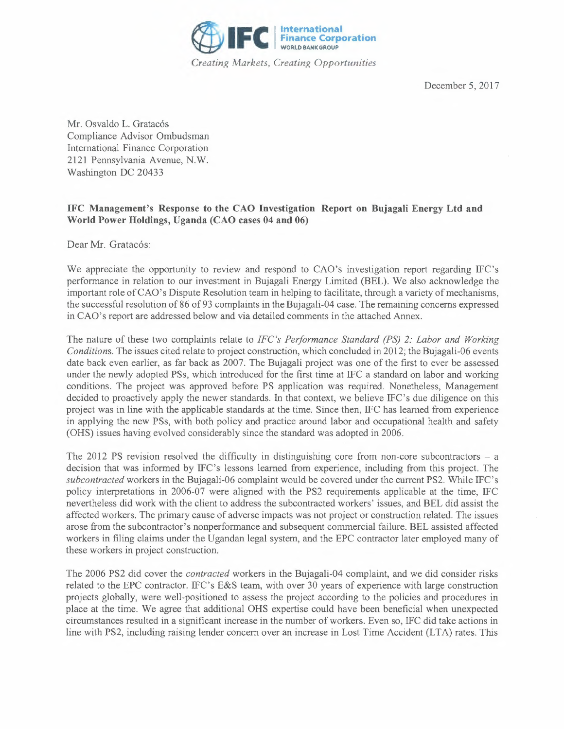

December 5, 2017

Mr. Osvaldo L. Gratacós Compliance Advisor Ombudsman International Finance Corporation 2121 Pennsylvania Avenue, **N.W.**  Washington DC 20433

## **IFC Management's Response to the CAO Investigation Report on Bujagali Energy Ltd and World Power Holdings, Uganda (CAO cases 04 and 06)**

Dear Mr. Gratacós:

We appreciate the opportunity to review and respond to CAO's investigation report regarding IFC's performance in relation to our investment in Bujagali Energy Limited (BEL). We also acknowledge the important role of CAO's Dispute Resolution team in helping to facilitate, through a variety of mechanisms, the successful resolution of 86 of 93 complaints in the Bujagali-04 case. The remaining concerns expressed in CAO's report are addressed below and via detailed comments in the attached Annex.

The nature of these two complaints relate to *IFC's Performance Standard (PS) 2: Labor and Working Conditions.* The issues cited relate to project construction, which concluded in 2012; the Bujagali-06 events date back even earlier, as far back as 2007. The Bujagali project was one of the first to ever be assessed under the newly adopted PSs, which introduced for the first time at IFC a standard on labor and working conditions. The project was approved before **PS** application was required. Nonetheless, Management decided to proactively apply the newer standards. In that context, we believe IFC's due diligence on this project was in line with the applicable standards at the time. Since then, IFC has learned from experience in applying the new PSs, with both policy and practice around labor and occupational health and safety (OHS) issues having evolved considerably since the standard was adopted in 2006.

The 2012 PS revision resolved the difficulty in distinguishing core from non-core subcontractors  $- a$ decision that was informed by IFC's lessons learned from experience, including from this project. The *subcontracted* workers in the Bujagali-06 complaint would be covered under the current PS2. While IFC's policy interpretations in 2006-07 were aligned with the PS2 requirements applicable at the time, IFC nevertheless did work with the client to address the subcontracted workers' issues, and BEL did assist the affected workers. The primary cause of adverse impacts was not project or construction related. The issues arose from the subcontractor's nonperformance and subsequent commercial failure. BEL assisted affected workers in filing claims under the Ugandan legal system, and the EPC contractor later employed many of these workers in project construction.

The 2006 PS2 did cover the *contracted* workers in the Bujagali-04 complaint, and we did consider risks related to the EPC contractor. IFC's E&S team, with over 30 years of experience with large construction projects globally, were well-positioned to assess the project according to the policies and procedures in place at the time. We agree that additional OHS expertise could have been beneficial when unexpected circumstances resulted in a significant increase in the number of workers. Even so, IFC did take actions in line with PS2, including raising lender concern over an increase in Lost Time Accident (LTA) rates. This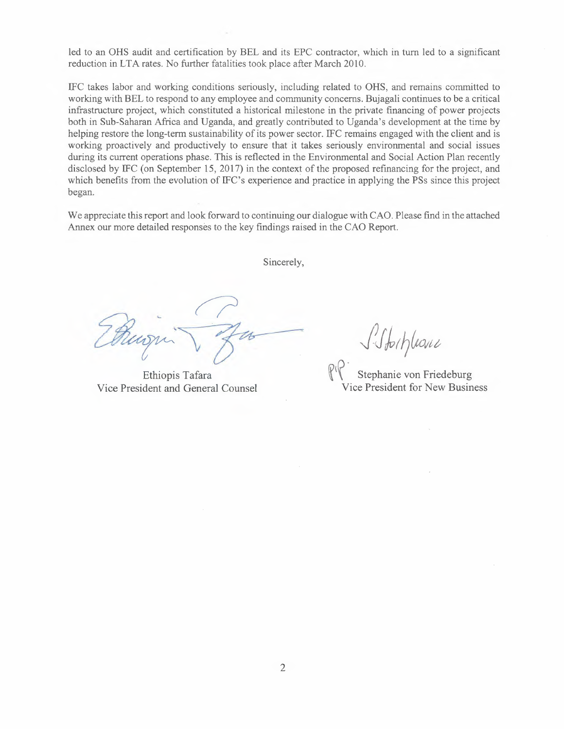led to an OHS audit and certification by BEL and its EPC contractor, which in tum led to a significant reduction in LTA rates. No further fatalities took place after March 2010.

IFC takes labor and working conditions seriously, including related to OHS, and remains commi tted to working with BEL to respond to any employee and community concerns. Bujagali continues to be a critical infrastructure project, which constituted a historical milestone in the private financing of power projects both in Sub-Saharan Africa and Uganda, and greatly contributed to Uganda's development at the time by helping restore the long-term sustainability of its power sector. IFC remains engaged with the client and is working proactively and productively to ensure that it takes seriously environmental and social issues during its current operations phase. This is reflected in the Environmental and Social Action Plan recently disclosed by IFC (on September 15, 2017) in the context of the proposed refinancing for the project, and which benefits from the evolution of IFC's experience and practice in applying the PSs since this project began.

We appreciate this report and look forward to continuing our dialogue with CAO. Please find in the attached Annex our more detailed responses to the key findings raised in the CAO Report.

Sincerely,

Ethiopis Tafara Vice President and General Counsel

*J.Jtr?lto,tt* 

 $\mathbb{R} \times$  Stephanie von Friedeburg Vice President for New Business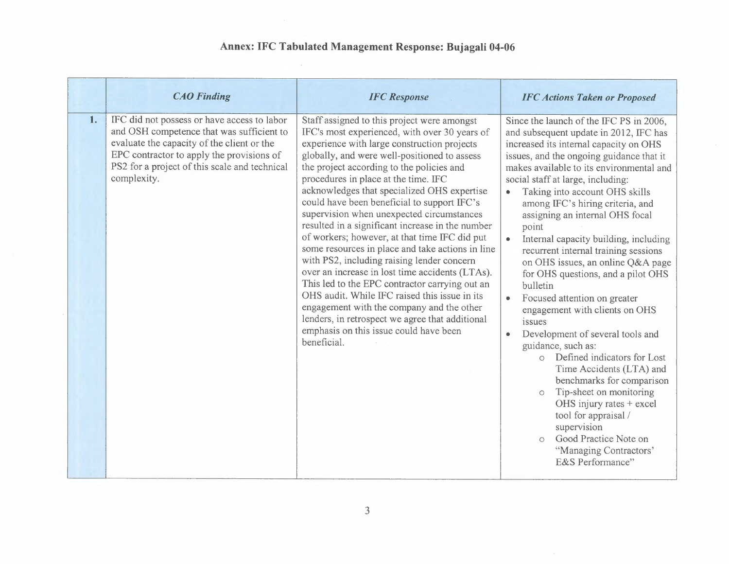## **Annex: IFC Tabulated Management Response: Bujagali 04-06**

|    | <b>CAO</b> Finding                                                                                                                                                                                                                                  | <b>IFC</b> Response                                                                                                                                                                                                                                                                                                                                                                                                                                                                                                                                                                                                                                                                                                                                                                                                                                                                                                                               | <b>IFC Actions Taken or Proposed</b>                                                                                                                                                                                                                                                                                                                                                                                                                                                                                                                                                                                                                                                                                                                                                                                                                                                                                                                                                                                             |
|----|-----------------------------------------------------------------------------------------------------------------------------------------------------------------------------------------------------------------------------------------------------|---------------------------------------------------------------------------------------------------------------------------------------------------------------------------------------------------------------------------------------------------------------------------------------------------------------------------------------------------------------------------------------------------------------------------------------------------------------------------------------------------------------------------------------------------------------------------------------------------------------------------------------------------------------------------------------------------------------------------------------------------------------------------------------------------------------------------------------------------------------------------------------------------------------------------------------------------|----------------------------------------------------------------------------------------------------------------------------------------------------------------------------------------------------------------------------------------------------------------------------------------------------------------------------------------------------------------------------------------------------------------------------------------------------------------------------------------------------------------------------------------------------------------------------------------------------------------------------------------------------------------------------------------------------------------------------------------------------------------------------------------------------------------------------------------------------------------------------------------------------------------------------------------------------------------------------------------------------------------------------------|
| 1. | IFC did not possess or have access to labor<br>and OSH competence that was sufficient to<br>evaluate the capacity of the client or the<br>EPC contractor to apply the provisions of<br>PS2 for a project of this scale and technical<br>complexity. | Staff assigned to this project were amongst<br>IFC's most experienced, with over 30 years of<br>experience with large construction projects<br>globally, and were well-positioned to assess<br>the project according to the policies and<br>procedures in place at the time. IFC<br>acknowledges that specialized OHS expertise<br>could have been beneficial to support IFC's<br>supervision when unexpected circumstances<br>resulted in a significant increase in the number<br>of workers; however, at that time IFC did put<br>some resources in place and take actions in line<br>with PS2, including raising lender concern<br>over an increase in lost time accidents (LTAs).<br>This led to the EPC contractor carrying out an<br>OHS audit. While IFC raised this issue in its<br>engagement with the company and the other<br>lenders, in retrospect we agree that additional<br>emphasis on this issue could have been<br>beneficial. | Since the launch of the IFC PS in 2006,<br>and subsequent update in 2012, IFC has<br>increased its internal capacity on OHS<br>issues, and the ongoing guidance that it<br>makes available to its environmental and<br>social staff at large, including:<br>Taking into account OHS skills<br>$\bullet$<br>among IFC's hiring criteria, and<br>assigning an internal OHS focal<br>point<br>$\bullet$<br>Internal capacity building, including<br>recurrent internal training sessions<br>on OHS issues, an online Q&A page<br>for OHS questions, and a pilot OHS<br>bulletin<br>Focused attention on greater<br>engagement with clients on OHS<br>issues<br>Development of several tools and<br>$\bullet$<br>guidance, such as:<br>Defined indicators for Lost<br>$\bigcirc$<br>Time Accidents (LTA) and<br>benchmarks for comparison<br>Tip-sheet on monitoring<br>$\circ$<br>OHS injury rates + excel<br>tool for appraisal /<br>supervision<br>Good Practice Note on<br>$\circ$<br>"Managing Contractors"<br>E&S Performance" |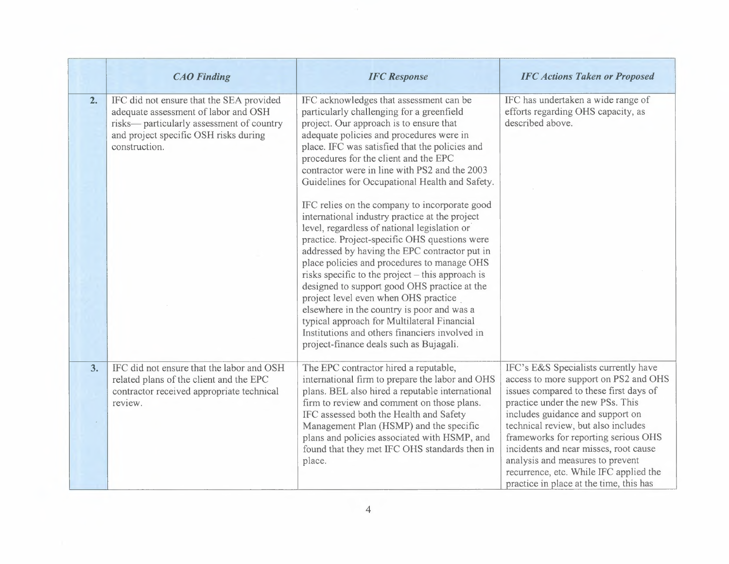|    | <b>CAO</b> Finding                                                                                                                                                                      | <b>IFC</b> Response                                                                                                                                                                                                                                                                                                                                                                                                                                                                                                                                                                                                                                                                                                                                                                                                                                                                                                                                                                                                 | <b>IFC Actions Taken or Proposed</b>                                                                                                                                                                                                                                                                                                                                                                                                             |
|----|-----------------------------------------------------------------------------------------------------------------------------------------------------------------------------------------|---------------------------------------------------------------------------------------------------------------------------------------------------------------------------------------------------------------------------------------------------------------------------------------------------------------------------------------------------------------------------------------------------------------------------------------------------------------------------------------------------------------------------------------------------------------------------------------------------------------------------------------------------------------------------------------------------------------------------------------------------------------------------------------------------------------------------------------------------------------------------------------------------------------------------------------------------------------------------------------------------------------------|--------------------------------------------------------------------------------------------------------------------------------------------------------------------------------------------------------------------------------------------------------------------------------------------------------------------------------------------------------------------------------------------------------------------------------------------------|
| 2. | IFC did not ensure that the SEA provided<br>adequate assessment of labor and OSH<br>risks— particularly assessment of country<br>and project specific OSH risks during<br>construction. | IFC acknowledges that assessment can be<br>particularly challenging for a greenfield<br>project. Our approach is to ensure that<br>adequate policies and procedures were in<br>place. IFC was satisfied that the policies and<br>procedures for the client and the EPC<br>contractor were in line with PS2 and the 2003<br>Guidelines for Occupational Health and Safety.<br>IFC relies on the company to incorporate good<br>international industry practice at the project<br>level, regardless of national legislation or<br>practice. Project-specific OHS questions were<br>addressed by having the EPC contractor put in<br>place policies and procedures to manage OHS<br>risks specific to the project – this approach is<br>designed to support good OHS practice at the<br>project level even when OHS practice<br>elsewhere in the country is poor and was a<br>typical approach for Multilateral Financial<br>Institutions and others financiers involved in<br>project-finance deals such as Bujagali. | IFC has undertaken a wide range of<br>efforts regarding OHS capacity, as<br>described above.                                                                                                                                                                                                                                                                                                                                                     |
| 3. | IFC did not ensure that the labor and OSH<br>related plans of the client and the EPC<br>contractor received appropriate technical<br>review.                                            | The EPC contractor hired a reputable,<br>international firm to prepare the labor and OHS<br>plans. BEL also hired a reputable international<br>firm to review and comment on those plans.<br>IFC assessed both the Health and Safety<br>Management Plan (HSMP) and the specific<br>plans and policies associated with HSMP, and<br>found that they met IFC OHS standards then in<br>place.                                                                                                                                                                                                                                                                                                                                                                                                                                                                                                                                                                                                                          | IFC's E&S Specialists currently have<br>access to more support on PS2 and OHS<br>issues compared to these first days of<br>practice under the new PSs. This<br>includes guidance and support on<br>technical review, but also includes<br>frameworks for reporting serious OHS<br>incidents and near misses, root cause<br>analysis and measures to prevent<br>recurrence, etc. While IFC applied the<br>practice in place at the time, this has |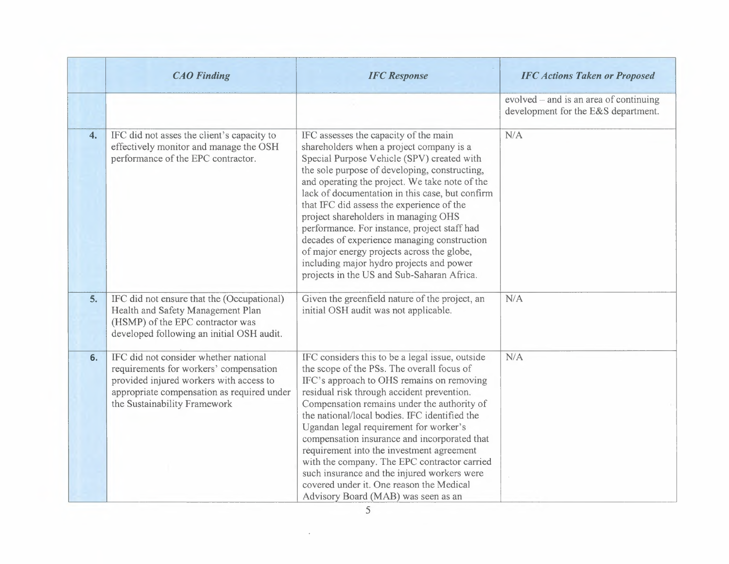|    | <b>CAO</b> Finding                                                                                                                                                                                       | <b>IFC</b> Response                                                                                                                                                                                                                                                                                                                                                                                                                                                                                                                                                                                               | <b>IFC Actions Taken or Proposed</b>                                          |
|----|----------------------------------------------------------------------------------------------------------------------------------------------------------------------------------------------------------|-------------------------------------------------------------------------------------------------------------------------------------------------------------------------------------------------------------------------------------------------------------------------------------------------------------------------------------------------------------------------------------------------------------------------------------------------------------------------------------------------------------------------------------------------------------------------------------------------------------------|-------------------------------------------------------------------------------|
|    |                                                                                                                                                                                                          |                                                                                                                                                                                                                                                                                                                                                                                                                                                                                                                                                                                                                   | evolved – and is an area of continuing<br>development for the E&S department. |
| 4. | IFC did not asses the client's capacity to<br>effectively monitor and manage the OSH<br>performance of the EPC contractor.                                                                               | IFC assesses the capacity of the main<br>shareholders when a project company is a<br>Special Purpose Vehicle (SPV) created with<br>the sole purpose of developing, constructing,<br>and operating the project. We take note of the<br>lack of documentation in this case, but confirm<br>that IFC did assess the experience of the<br>project shareholders in managing OHS<br>performance. For instance, project staff had<br>decades of experience managing construction<br>of major energy projects across the globe,<br>including major hydro projects and power<br>projects in the US and Sub-Saharan Africa. | N/A                                                                           |
| 5. | IFC did not ensure that the (Occupational)<br>Health and Safety Management Plan<br>(HSMP) of the EPC contractor was<br>developed following an initial OSH audit.                                         | Given the greenfield nature of the project, an<br>initial OSH audit was not applicable.                                                                                                                                                                                                                                                                                                                                                                                                                                                                                                                           | N/A                                                                           |
| 6. | IFC did not consider whether national<br>requirements for workers' compensation<br>provided injured workers with access to<br>appropriate compensation as required under<br>the Sustainability Framework | IFC considers this to be a legal issue, outside<br>the scope of the PSs. The overall focus of<br>IFC's approach to OHS remains on removing<br>residual risk through accident prevention.<br>Compensation remains under the authority of<br>the national/local bodies. IFC identified the<br>Ugandan legal requirement for worker's<br>compensation insurance and incorporated that<br>requirement into the investment agreement<br>with the company. The EPC contractor carried<br>such insurance and the injured workers were<br>covered under it. One reason the Medical<br>Advisory Board (MAB) was seen as an | N/A                                                                           |

 $\mathcal{A}^{\mathcal{A}}$  .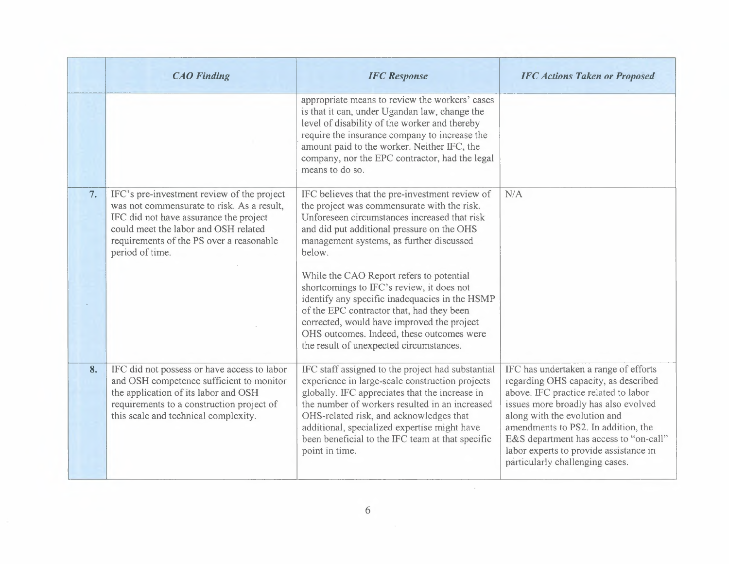|    | <b>CAO</b> Finding                                                                                                                                                                                                                        | <b>IFC</b> Response                                                                                                                                                                                                                                                                                                                                                       | <b>IFC Actions Taken or Proposed</b>                                                                                                                                                                                                                                                                                                                        |
|----|-------------------------------------------------------------------------------------------------------------------------------------------------------------------------------------------------------------------------------------------|---------------------------------------------------------------------------------------------------------------------------------------------------------------------------------------------------------------------------------------------------------------------------------------------------------------------------------------------------------------------------|-------------------------------------------------------------------------------------------------------------------------------------------------------------------------------------------------------------------------------------------------------------------------------------------------------------------------------------------------------------|
|    |                                                                                                                                                                                                                                           | appropriate means to review the workers' cases<br>is that it can, under Ugandan law, change the<br>level of disability of the worker and thereby<br>require the insurance company to increase the<br>amount paid to the worker. Neither IFC, the<br>company, nor the EPC contractor, had the legal<br>means to do so.                                                     |                                                                                                                                                                                                                                                                                                                                                             |
| 7. | IFC's pre-investment review of the project<br>was not commensurate to risk. As a result,<br>IFC did not have assurance the project<br>could meet the labor and OSH related<br>requirements of the PS over a reasonable<br>period of time. | IFC believes that the pre-investment review of<br>the project was commensurate with the risk.<br>Unforeseen circumstances increased that risk<br>and did put additional pressure on the OHS<br>management systems, as further discussed<br>below.                                                                                                                         | N/A                                                                                                                                                                                                                                                                                                                                                         |
|    |                                                                                                                                                                                                                                           | While the CAO Report refers to potential<br>shortcomings to IFC's review, it does not<br>identify any specific inadequacies in the HSMP<br>of the EPC contractor that, had they been<br>corrected, would have improved the project<br>OHS outcomes. Indeed, these outcomes were<br>the result of unexpected circumstances.                                                |                                                                                                                                                                                                                                                                                                                                                             |
| 8. | IFC did not possess or have access to labor<br>and OSH competence sufficient to monitor<br>the application of its labor and OSH<br>requirements to a construction project of<br>this scale and technical complexity.                      | IFC staff assigned to the project had substantial<br>experience in large-scale construction projects<br>globally. IFC appreciates that the increase in<br>the number of workers resulted in an increased<br>OHS-related risk, and acknowledges that<br>additional, specialized expertise might have<br>been beneficial to the IFC team at that specific<br>point in time. | IFC has undertaken a range of efforts<br>regarding OHS capacity, as described<br>above. IFC practice related to labor<br>issues more broadly has also evolved<br>along with the evolution and<br>amendments to PS2. In addition, the<br>E&S department has access to "on-call"<br>labor experts to provide assistance in<br>particularly challenging cases. |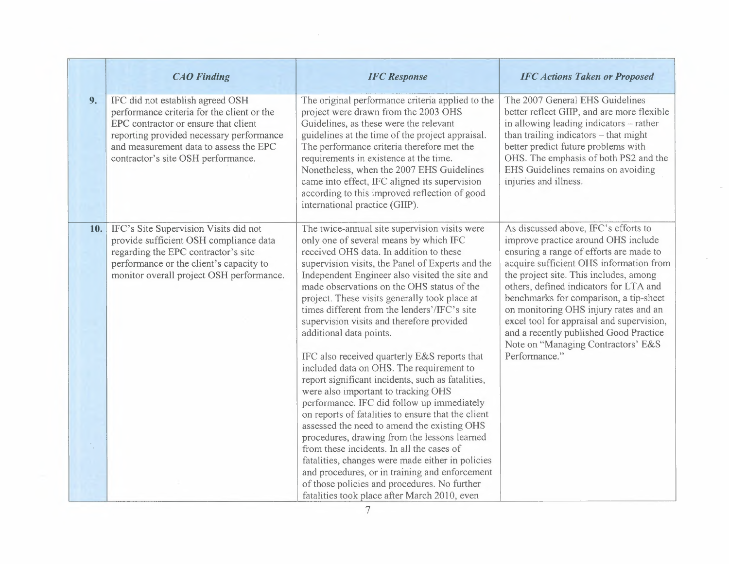|      | <b>CAO</b> Finding                                                                                                                                                                                                                                 | <b>IFC</b> Response                                                                                                                                                                                                                                                                                                                                                                                                                                                                                                                                                                                                                                                                                                                                                                                                                                                                                                                                                                                                                                                                                           | <b>IFC Actions Taken or Proposed</b>                                                                                                                                                                                                                                                                                                                                                                                                                                                   |
|------|----------------------------------------------------------------------------------------------------------------------------------------------------------------------------------------------------------------------------------------------------|---------------------------------------------------------------------------------------------------------------------------------------------------------------------------------------------------------------------------------------------------------------------------------------------------------------------------------------------------------------------------------------------------------------------------------------------------------------------------------------------------------------------------------------------------------------------------------------------------------------------------------------------------------------------------------------------------------------------------------------------------------------------------------------------------------------------------------------------------------------------------------------------------------------------------------------------------------------------------------------------------------------------------------------------------------------------------------------------------------------|----------------------------------------------------------------------------------------------------------------------------------------------------------------------------------------------------------------------------------------------------------------------------------------------------------------------------------------------------------------------------------------------------------------------------------------------------------------------------------------|
| 9.   | IFC did not establish agreed OSH<br>performance criteria for the client or the<br>EPC contractor or ensure that client<br>reporting provided necessary performance<br>and measurement data to assess the EPC<br>contractor's site OSH performance. | The original performance criteria applied to the<br>project were drawn from the 2003 OHS<br>Guidelines, as these were the relevant<br>guidelines at the time of the project appraisal.<br>The performance criteria therefore met the<br>requirements in existence at the time.<br>Nonetheless, when the 2007 EHS Guidelines<br>came into effect, IFC aligned its supervision<br>according to this improved reflection of good<br>international practice (GIIP).                                                                                                                                                                                                                                                                                                                                                                                                                                                                                                                                                                                                                                               | The 2007 General EHS Guidelines<br>better reflect GIIP, and are more flexible<br>in allowing leading indicators - rather<br>than trailing indicators - that might<br>better predict future problems with<br>OHS. The emphasis of both PS2 and the<br>EHS Guidelines remains on avoiding<br>injuries and illness.                                                                                                                                                                       |
| 10.1 | IFC's Site Supervision Visits did not<br>provide sufficient OSH compliance data<br>regarding the EPC contractor's site<br>performance or the client's capacity to<br>monitor overall project OSH performance.                                      | The twice-annual site supervision visits were<br>only one of several means by which IFC<br>received OHS data. In addition to these<br>supervision visits, the Panel of Experts and the<br>Independent Engineer also visited the site and<br>made observations on the OHS status of the<br>project. These visits generally took place at<br>times different from the lenders'/IFC's site<br>supervision visits and therefore provided<br>additional data points.<br>IFC also received quarterly E&S reports that<br>included data on OHS. The requirement to<br>report significant incidents, such as fatalities,<br>were also important to tracking OHS<br>performance. IFC did follow up immediately<br>on reports of fatalities to ensure that the client<br>assessed the need to amend the existing OHS<br>procedures, drawing from the lessons learned<br>from these incidents. In all the cases of<br>fatalities, changes were made either in policies<br>and procedures, or in training and enforcement<br>of those policies and procedures. No further<br>fatalities took place after March 2010, even | As discussed above, IFC's efforts to<br>improve practice around OHS include<br>ensuring a range of efforts are made to<br>acquire sufficient OHS information from<br>the project site. This includes, among<br>others, defined indicators for LTA and<br>benchmarks for comparison, a tip-sheet<br>on monitoring OHS injury rates and an<br>excel tool for appraisal and supervision,<br>and a recently published Good Practice<br>Note on "Managing Contractors' E&S<br>Performance." |

 $\overline{\phantom{a}}$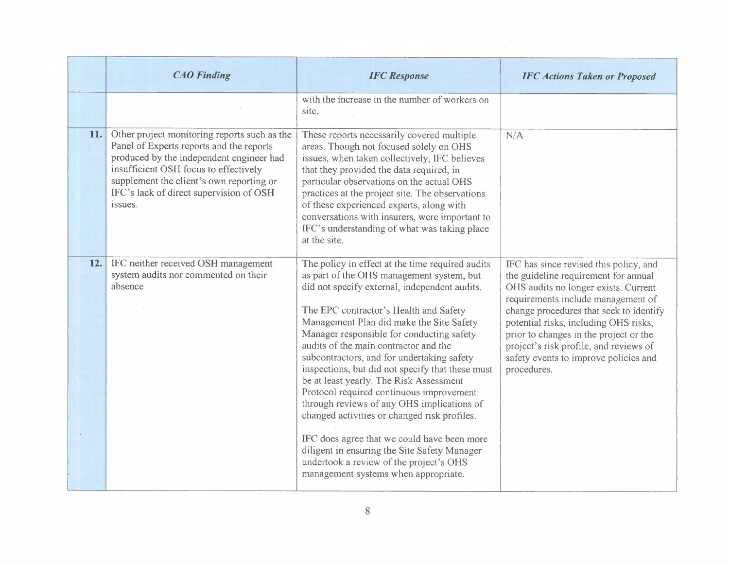|     | <b>CAO</b> Finding                                                                                                                                                                                                                                                              | <b>IFC</b> Response                                                                                                                                                                                                                                                                                                                                                                                                                                                                                                                                                                                                                                                                                                                                                                                 | <b>IFC Actions Taken or Proposed</b>                                                                                                                                                                                                                                                                                                                                                         |
|-----|---------------------------------------------------------------------------------------------------------------------------------------------------------------------------------------------------------------------------------------------------------------------------------|-----------------------------------------------------------------------------------------------------------------------------------------------------------------------------------------------------------------------------------------------------------------------------------------------------------------------------------------------------------------------------------------------------------------------------------------------------------------------------------------------------------------------------------------------------------------------------------------------------------------------------------------------------------------------------------------------------------------------------------------------------------------------------------------------------|----------------------------------------------------------------------------------------------------------------------------------------------------------------------------------------------------------------------------------------------------------------------------------------------------------------------------------------------------------------------------------------------|
|     |                                                                                                                                                                                                                                                                                 | with the increase in the number of workers on<br>site.                                                                                                                                                                                                                                                                                                                                                                                                                                                                                                                                                                                                                                                                                                                                              |                                                                                                                                                                                                                                                                                                                                                                                              |
| 11. | Other project monitoring reports such as the<br>Panel of Experts reports and the reports<br>produced by the independent engineer had<br>insufficient OSH focus to effectively<br>supplement the client's own reporting or<br>IFC's lack of direct supervision of OSH<br>issues. | These reports necessarily covered multiple<br>areas. Though not focused solely on OHS<br>issues, when taken collectively, IFC believes<br>that they provided the data required, in<br>particular observations on the actual OHS<br>practices at the project site. The observations<br>of these experienced experts, along with<br>conversations with insurers, were important to<br>IFC's understanding of what was taking place<br>at the site.                                                                                                                                                                                                                                                                                                                                                    | N/A                                                                                                                                                                                                                                                                                                                                                                                          |
| 12. | IFC neither received OSH management<br>system audits nor commented on their<br>absence                                                                                                                                                                                          | The policy in effect at the time required audits<br>as part of the OHS management system, but<br>did not specify external, independent audits.<br>The EPC contractor's Health and Safety<br>Management Plan did make the Site Safety<br>Manager responsible for conducting safety<br>audits of the main contractor and the<br>subcontractors, and for undertaking safety<br>inspections, but did not specify that these must<br>be at least yearly. The Risk Assessment<br>Protocol required continuous improvement<br>through reviews of any OHS implications of<br>changed activities or changed risk profiles.<br>IFC does agree that we could have been more<br>diligent in ensuring the Site Safety Manager<br>undertook a review of the project's OHS<br>management systems when appropriate. | IFC has since revised this policy, and<br>the guideline requirement for annual<br>OHS audits no longer exists. Current<br>requirements include management of<br>change procedures that seek to identify<br>potential risks, including OHS risks,<br>prior to changes in the project or the<br>project's risk profile, and reviews of<br>safety events to improve policies and<br>procedures. |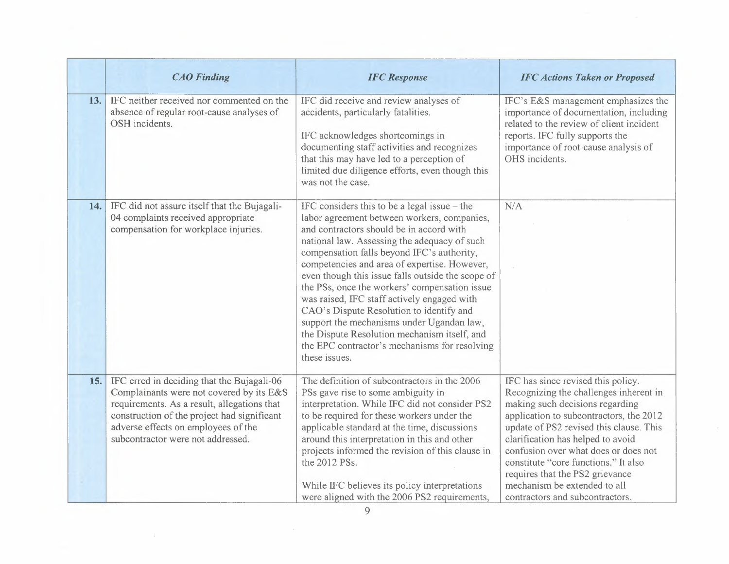|     | <b>CAO</b> Finding                                                                                                                                                                                                                                               | <b>IFC</b> Response                                                                                                                                                                                                                                                                                                                                                                                                                                                                                                                                                                                                                                     | <b>IFC Actions Taken or Proposed</b>                                                                                                                                                                                                                                                                                                                                                                                             |
|-----|------------------------------------------------------------------------------------------------------------------------------------------------------------------------------------------------------------------------------------------------------------------|---------------------------------------------------------------------------------------------------------------------------------------------------------------------------------------------------------------------------------------------------------------------------------------------------------------------------------------------------------------------------------------------------------------------------------------------------------------------------------------------------------------------------------------------------------------------------------------------------------------------------------------------------------|----------------------------------------------------------------------------------------------------------------------------------------------------------------------------------------------------------------------------------------------------------------------------------------------------------------------------------------------------------------------------------------------------------------------------------|
| 13. | IFC neither received nor commented on the<br>absence of regular root-cause analyses of<br>OSH incidents.                                                                                                                                                         | IFC did receive and review analyses of<br>accidents, particularly fatalities.<br>IFC acknowledges shortcomings in<br>documenting staff activities and recognizes<br>that this may have led to a perception of<br>limited due diligence efforts, even though this<br>was not the case.                                                                                                                                                                                                                                                                                                                                                                   | IFC's E&S management emphasizes the<br>importance of documentation, including<br>related to the review of client incident<br>reports. IFC fully supports the<br>importance of root-cause analysis of<br>OHS incidents.                                                                                                                                                                                                           |
| 14. | IFC did not assure itself that the Bujagali-<br>04 complaints received appropriate<br>compensation for workplace injuries.                                                                                                                                       | IFC considers this to be a legal issue $-$ the<br>labor agreement between workers, companies,<br>and contractors should be in accord with<br>national law. Assessing the adequacy of such<br>compensation falls beyond IFC's authority,<br>competencies and area of expertise. However,<br>even though this issue falls outside the scope of<br>the PSs, once the workers' compensation issue<br>was raised, IFC staff actively engaged with<br>CAO's Dispute Resolution to identify and<br>support the mechanisms under Ugandan law,<br>the Dispute Resolution mechanism itself, and<br>the EPC contractor's mechanisms for resolving<br>these issues. | N/A                                                                                                                                                                                                                                                                                                                                                                                                                              |
| 15. | IFC erred in deciding that the Bujagali-06<br>Complainants were not covered by its E&S<br>requirements. As a result, allegations that<br>construction of the project had significant<br>adverse effects on employees of the<br>subcontractor were not addressed. | The definition of subcontractors in the 2006<br>PSs gave rise to some ambiguity in<br>interpretation. While IFC did not consider PS2<br>to be required for these workers under the<br>applicable standard at the time, discussions<br>around this interpretation in this and other<br>projects informed the revision of this clause in<br>the 2012 PSs.<br>While IFC believes its policy interpretations<br>were aligned with the 2006 PS2 requirements,                                                                                                                                                                                                | IFC has since revised this policy.<br>Recognizing the challenges inherent in<br>making such decisions regarding<br>application to subcontractors, the 2012<br>update of PS2 revised this clause. This<br>clarification has helped to avoid<br>confusion over what does or does not<br>constitute "core functions." It also<br>requires that the PS2 grievance<br>mechanism be extended to all<br>contractors and subcontractors. |
| 9   |                                                                                                                                                                                                                                                                  |                                                                                                                                                                                                                                                                                                                                                                                                                                                                                                                                                                                                                                                         |                                                                                                                                                                                                                                                                                                                                                                                                                                  |

 $\sim$   $\sim$ 

 $\sim$